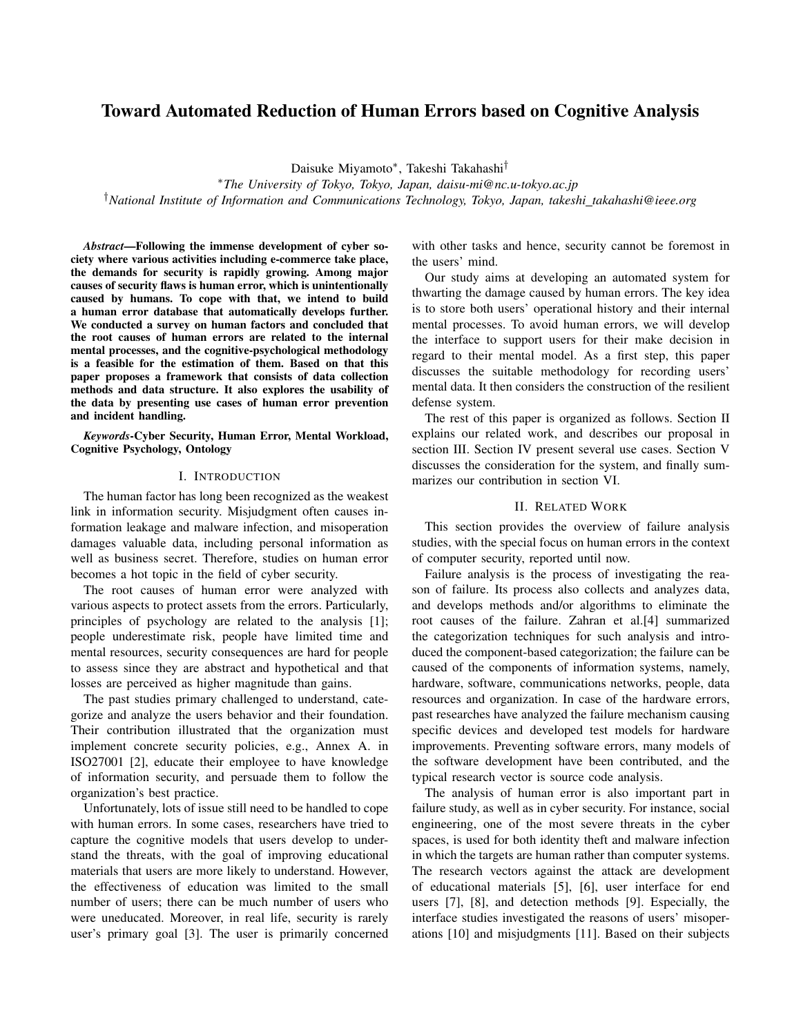# Toward Automated Reduction of Human Errors based on Cognitive Analysis

Daisuke Miyamoto∗, Takeshi Takahashi†

∗*The University of Tokyo, Tokyo, Japan, daisu-mi@nc.u-tokyo.ac.jp* †*National Institute of Information and Communications Technology, Tokyo, Japan, takeshi takahashi@ieee.org*

*Abstract*—Following the immense development of cyber society where various activities including e-commerce take place, the demands for security is rapidly growing. Among major causes of security flaws is human error, which is unintentionally caused by humans. To cope with that, we intend to build a human error database that automatically develops further. We conducted a survey on human factors and concluded that the root causes of human errors are related to the internal mental processes, and the cognitive-psychological methodology is a feasible for the estimation of them. Based on that this paper proposes a framework that consists of data collection methods and data structure. It also explores the usability of the data by presenting use cases of human error prevention and incident handling.

*Keywords*-Cyber Security, Human Error, Mental Workload, Cognitive Psychology, Ontology

### I. INTRODUCTION

The human factor has long been recognized as the weakest link in information security. Misjudgment often causes information leakage and malware infection, and misoperation damages valuable data, including personal information as well as business secret. Therefore, studies on human error becomes a hot topic in the field of cyber security.

The root causes of human error were analyzed with various aspects to protect assets from the errors. Particularly, principles of psychology are related to the analysis [1]; people underestimate risk, people have limited time and mental resources, security consequences are hard for people to assess since they are abstract and hypothetical and that losses are perceived as higher magnitude than gains.

The past studies primary challenged to understand, categorize and analyze the users behavior and their foundation. Their contribution illustrated that the organization must implement concrete security policies, e.g., Annex A. in ISO27001 [2], educate their employee to have knowledge of information security, and persuade them to follow the organization's best practice.

Unfortunately, lots of issue still need to be handled to cope with human errors. In some cases, researchers have tried to capture the cognitive models that users develop to understand the threats, with the goal of improving educational materials that users are more likely to understand. However, the effectiveness of education was limited to the small number of users; there can be much number of users who were uneducated. Moreover, in real life, security is rarely user's primary goal [3]. The user is primarily concerned with other tasks and hence, security cannot be foremost in the users' mind.

Our study aims at developing an automated system for thwarting the damage caused by human errors. The key idea is to store both users' operational history and their internal mental processes. To avoid human errors, we will develop the interface to support users for their make decision in regard to their mental model. As a first step, this paper discusses the suitable methodology for recording users' mental data. It then considers the construction of the resilient defense system.

The rest of this paper is organized as follows. Section II explains our related work, and describes our proposal in section III. Section IV present several use cases. Section V discusses the consideration for the system, and finally summarizes our contribution in section VI.

#### II. RELATED WORK

This section provides the overview of failure analysis studies, with the special focus on human errors in the context of computer security, reported until now.

Failure analysis is the process of investigating the reason of failure. Its process also collects and analyzes data, and develops methods and/or algorithms to eliminate the root causes of the failure. Zahran et al.[4] summarized the categorization techniques for such analysis and introduced the component-based categorization; the failure can be caused of the components of information systems, namely, hardware, software, communications networks, people, data resources and organization. In case of the hardware errors, past researches have analyzed the failure mechanism causing specific devices and developed test models for hardware improvements. Preventing software errors, many models of the software development have been contributed, and the typical research vector is source code analysis.

The analysis of human error is also important part in failure study, as well as in cyber security. For instance, social engineering, one of the most severe threats in the cyber spaces, is used for both identity theft and malware infection in which the targets are human rather than computer systems. The research vectors against the attack are development of educational materials [5], [6], user interface for end users [7], [8], and detection methods [9]. Especially, the interface studies investigated the reasons of users' misoperations [10] and misjudgments [11]. Based on their subjects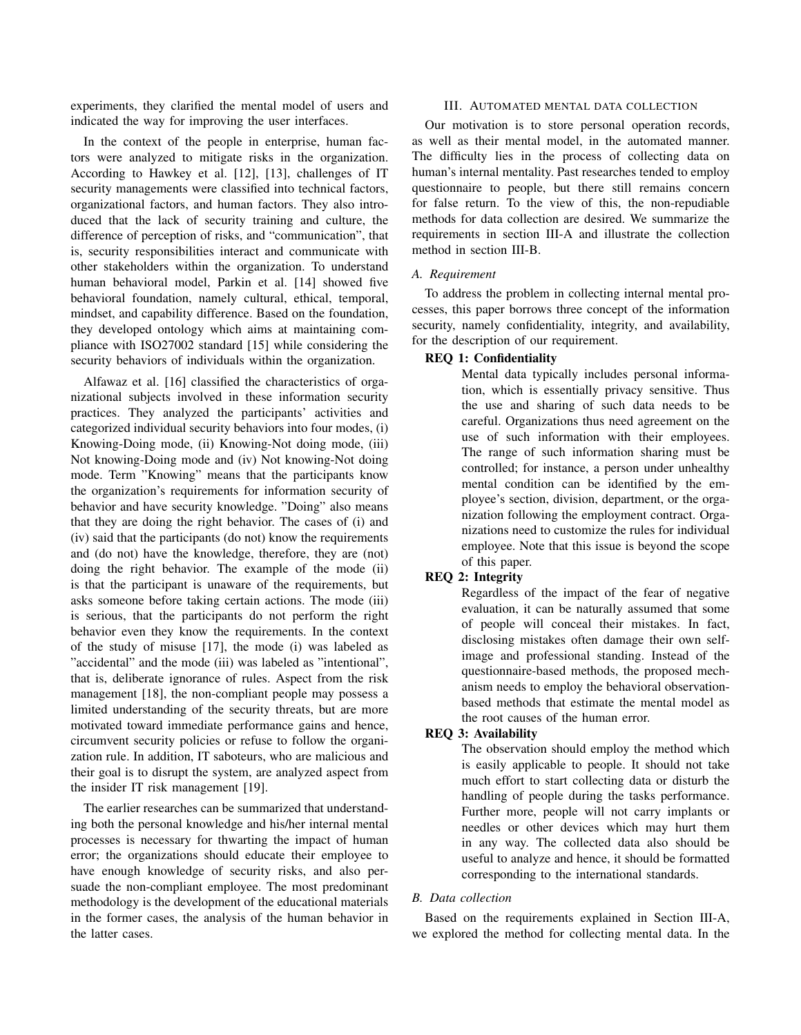experiments, they clarified the mental model of users and indicated the way for improving the user interfaces.

In the context of the people in enterprise, human factors were analyzed to mitigate risks in the organization. According to Hawkey et al. [12], [13], challenges of IT security managements were classified into technical factors, organizational factors, and human factors. They also introduced that the lack of security training and culture, the difference of perception of risks, and "communication", that is, security responsibilities interact and communicate with other stakeholders within the organization. To understand human behavioral model, Parkin et al. [14] showed five behavioral foundation, namely cultural, ethical, temporal, mindset, and capability difference. Based on the foundation, they developed ontology which aims at maintaining compliance with ISO27002 standard [15] while considering the security behaviors of individuals within the organization.

Alfawaz et al. [16] classified the characteristics of organizational subjects involved in these information security practices. They analyzed the participants' activities and categorized individual security behaviors into four modes, (i) Knowing-Doing mode, (ii) Knowing-Not doing mode, (iii) Not knowing-Doing mode and (iv) Not knowing-Not doing mode. Term "Knowing" means that the participants know the organization's requirements for information security of behavior and have security knowledge. "Doing" also means that they are doing the right behavior. The cases of (i) and (iv) said that the participants (do not) know the requirements and (do not) have the knowledge, therefore, they are (not) doing the right behavior. The example of the mode (ii) is that the participant is unaware of the requirements, but asks someone before taking certain actions. The mode (iii) is serious, that the participants do not perform the right behavior even they know the requirements. In the context of the study of misuse [17], the mode (i) was labeled as "accidental" and the mode (iii) was labeled as "intentional", that is, deliberate ignorance of rules. Aspect from the risk management [18], the non-compliant people may possess a limited understanding of the security threats, but are more motivated toward immediate performance gains and hence, circumvent security policies or refuse to follow the organization rule. In addition, IT saboteurs, who are malicious and their goal is to disrupt the system, are analyzed aspect from the insider IT risk management [19].

The earlier researches can be summarized that understanding both the personal knowledge and his/her internal mental processes is necessary for thwarting the impact of human error; the organizations should educate their employee to have enough knowledge of security risks, and also persuade the non-compliant employee. The most predominant methodology is the development of the educational materials in the former cases, the analysis of the human behavior in the latter cases.

### III. AUTOMATED MENTAL DATA COLLECTION

Our motivation is to store personal operation records, as well as their mental model, in the automated manner. The difficulty lies in the process of collecting data on human's internal mentality. Past researches tended to employ questionnaire to people, but there still remains concern for false return. To the view of this, the non-repudiable methods for data collection are desired. We summarize the requirements in section III-A and illustrate the collection method in section III-B.

# *A. Requirement*

To address the problem in collecting internal mental processes, this paper borrows three concept of the information security, namely confidentiality, integrity, and availability, for the description of our requirement.

# REQ 1: Confidentiality

Mental data typically includes personal information, which is essentially privacy sensitive. Thus the use and sharing of such data needs to be careful. Organizations thus need agreement on the use of such information with their employees. The range of such information sharing must be controlled; for instance, a person under unhealthy mental condition can be identified by the employee's section, division, department, or the organization following the employment contract. Organizations need to customize the rules for individual employee. Note that this issue is beyond the scope of this paper.

# REQ 2: Integrity

Regardless of the impact of the fear of negative evaluation, it can be naturally assumed that some of people will conceal their mistakes. In fact, disclosing mistakes often damage their own selfimage and professional standing. Instead of the questionnaire-based methods, the proposed mechanism needs to employ the behavioral observationbased methods that estimate the mental model as the root causes of the human error.

## REQ 3: Availability

The observation should employ the method which is easily applicable to people. It should not take much effort to start collecting data or disturb the handling of people during the tasks performance. Further more, people will not carry implants or needles or other devices which may hurt them in any way. The collected data also should be useful to analyze and hence, it should be formatted corresponding to the international standards.

### *B. Data collection*

Based on the requirements explained in Section III-A, we explored the method for collecting mental data. In the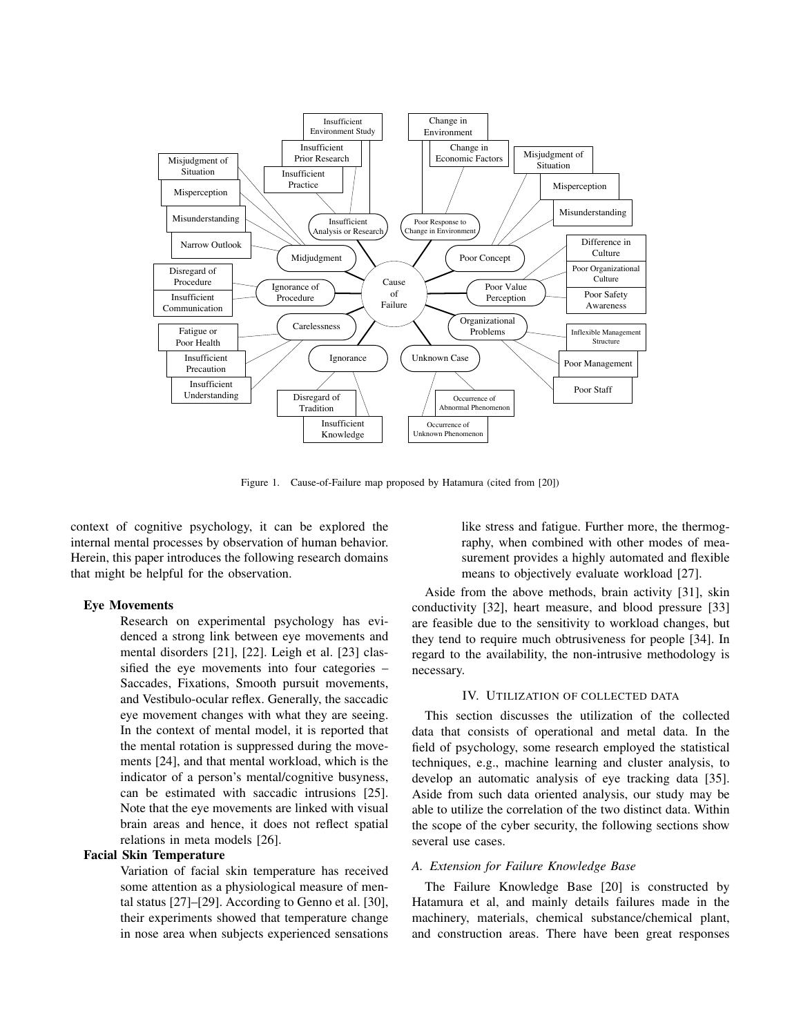

Figure 1. Cause-of-Failure map proposed by Hatamura (cited from [20])

context of cognitive psychology, it can be explored the internal mental processes by observation of human behavior. Herein, this paper introduces the following research domains that might be helpful for the observation.

#### Eye Movements

Research on experimental psychology has evidenced a strong link between eye movements and mental disorders [21], [22]. Leigh et al. [23] classified the eye movements into four categories – Saccades, Fixations, Smooth pursuit movements, and Vestibulo-ocular reflex. Generally, the saccadic eye movement changes with what they are seeing. In the context of mental model, it is reported that the mental rotation is suppressed during the movements [24], and that mental workload, which is the indicator of a person's mental/cognitive busyness, can be estimated with saccadic intrusions [25]. Note that the eye movements are linked with visual brain areas and hence, it does not reflect spatial relations in meta models [26].

# Facial Skin Temperature

Variation of facial skin temperature has received some attention as a physiological measure of mental status [27]–[29]. According to Genno et al. [30], their experiments showed that temperature change in nose area when subjects experienced sensations like stress and fatigue. Further more, the thermography, when combined with other modes of measurement provides a highly automated and flexible means to objectively evaluate workload [27].

Aside from the above methods, brain activity [31], skin conductivity [32], heart measure, and blood pressure [33] are feasible due to the sensitivity to workload changes, but they tend to require much obtrusiveness for people [34]. In regard to the availability, the non-intrusive methodology is necessary.

#### IV. UTILIZATION OF COLLECTED DATA

This section discusses the utilization of the collected data that consists of operational and metal data. In the field of psychology, some research employed the statistical techniques, e.g., machine learning and cluster analysis, to develop an automatic analysis of eye tracking data [35]. Aside from such data oriented analysis, our study may be able to utilize the correlation of the two distinct data. Within the scope of the cyber security, the following sections show several use cases.

# *A. Extension for Failure Knowledge Base*

The Failure Knowledge Base [20] is constructed by Hatamura et al, and mainly details failures made in the machinery, materials, chemical substance/chemical plant, and construction areas. There have been great responses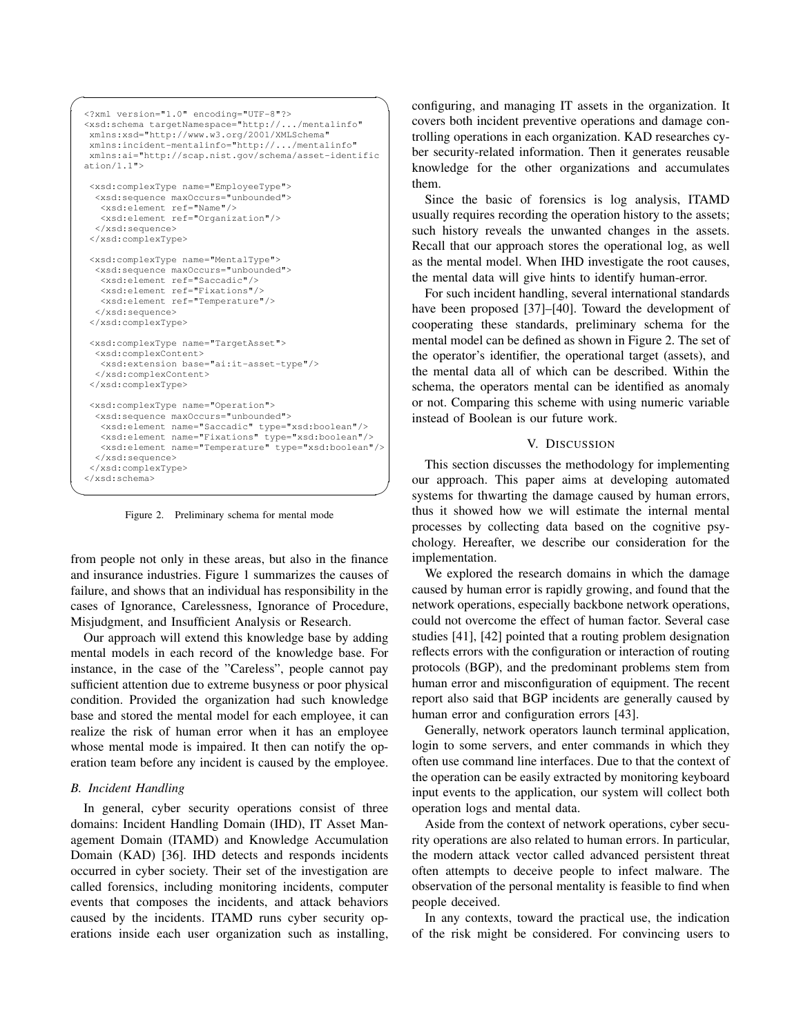```
<?xml version="1.0" encoding="UTF-8"?>
<xsd:schema targetNamespace="http://.../mentalinfo"
 xmlns:xsd="http://www.w3.org/2001/XMLSchema"
 xmlns:incident-mentalinfo="http://.../mentalinfo"
 xmlns:ai="http://scap.nist.gov/schema/asset-identific
ation/1.1"<xsd:complexType name="EmployeeType">
  <xsd:sequence maxOccurs="unbounded">
   <xsd:element ref="Name"/>
   <xsd:element ref="Organization"/>
  </xsd:sequence>
 </xsd:complexType>
 <xsd:complexType name="MentalType">
  <xsd:sequence maxOccurs="unbounded">
   <xsd:element ref="Saccadic"/>
   <xsd:element ref="Fixations"/>
   <xsd:element ref="Temperature"/>
  </xsd:sequence>
 </xsd:complexType>
 <xsd:complexType name="TargetAsset">
  <xsd:complexContent>
   <xsd:extension base="ai:it-asset-type"/>
  </xsd:complexContent>
 </xsd:complexType>
 <xsd:complexType name="Operation">
  <xsd:sequence maxOccurs="unbounded">
   <xsd:element name="Saccadic" type="xsd:boolean"/>
   <xsd:element name="Fixations" type="xsd:boolean"/>
<xsd:element name="Temperature" type="xsd:boolean"/>
  </xsd:sequence>
 </xsd:complexType>
</xsd:schema>
```
Figure 2. Preliminary schema for mental mode

from people not only in these areas, but also in the finance and insurance industries. Figure 1 summarizes the causes of failure, and shows that an individual has responsibility in the cases of Ignorance, Carelessness, Ignorance of Procedure, Misjudgment, and Insufficient Analysis or Research.

Our approach will extend this knowledge base by adding mental models in each record of the knowledge base. For instance, in the case of the "Careless", people cannot pay sufficient attention due to extreme busyness or poor physical condition. Provided the organization had such knowledge base and stored the mental model for each employee, it can realize the risk of human error when it has an employee whose mental mode is impaired. It then can notify the operation team before any incident is caused by the employee.

### *B. Incident Handling*

In general, cyber security operations consist of three domains: Incident Handling Domain (IHD), IT Asset Management Domain (ITAMD) and Knowledge Accumulation Domain (KAD) [36]. IHD detects and responds incidents occurred in cyber society. Their set of the investigation are called forensics, including monitoring incidents, computer events that composes the incidents, and attack behaviors caused by the incidents. ITAMD runs cyber security operations inside each user organization such as installing,

 $\sqrt{2\pi i}$ configuring, and managing IT assets in the organization. It covers both incident preventive operations and damage controlling operations in each organization. KAD researches cyber security-related information. Then it generates reusable knowledge for the other organizations and accumulates them.

> Since the basic of forensics is log analysis, ITAMD usually requires recording the operation history to the assets; such history reveals the unwanted changes in the assets. Recall that our approach stores the operational log, as well as the mental model. When IHD investigate the root causes, the mental data will give hints to identify human-error.

> For such incident handling, several international standards have been proposed [37]–[40]. Toward the development of cooperating these standards, preliminary schema for the mental model can be defined as shown in Figure 2. The set of the operator's identifier, the operational target (assets), and the mental data all of which can be described. Within the schema, the operators mental can be identified as anomaly or not. Comparing this scheme with using numeric variable instead of Boolean is our future work.

### V. DISCUSSION

✒ ✑ This section discusses the methodology for implementing our approach. This paper aims at developing automated systems for thwarting the damage caused by human errors, thus it showed how we will estimate the internal mental processes by collecting data based on the cognitive psychology. Hereafter, we describe our consideration for the implementation.

> We explored the research domains in which the damage caused by human error is rapidly growing, and found that the network operations, especially backbone network operations, could not overcome the effect of human factor. Several case studies [41], [42] pointed that a routing problem designation reflects errors with the configuration or interaction of routing protocols (BGP), and the predominant problems stem from human error and misconfiguration of equipment. The recent report also said that BGP incidents are generally caused by human error and configuration errors [43].

> Generally, network operators launch terminal application, login to some servers, and enter commands in which they often use command line interfaces. Due to that the context of the operation can be easily extracted by monitoring keyboard input events to the application, our system will collect both operation logs and mental data.

> Aside from the context of network operations, cyber security operations are also related to human errors. In particular, the modern attack vector called advanced persistent threat often attempts to deceive people to infect malware. The observation of the personal mentality is feasible to find when people deceived.

> In any contexts, toward the practical use, the indication of the risk might be considered. For convincing users to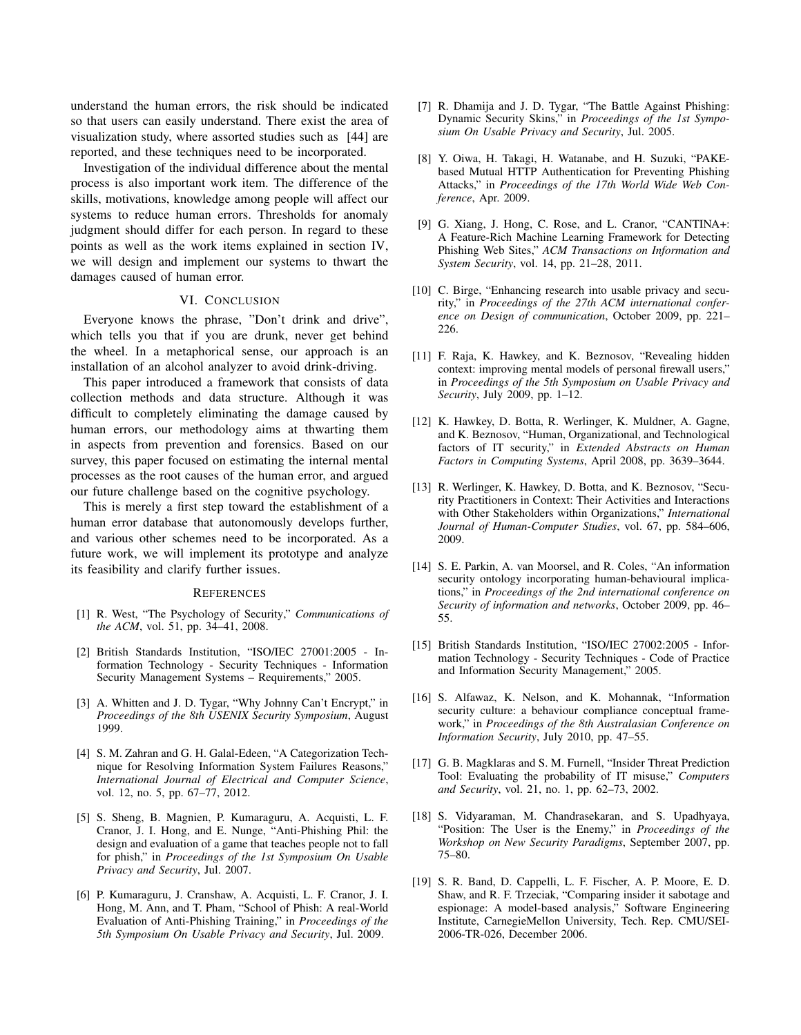understand the human errors, the risk should be indicated so that users can easily understand. There exist the area of visualization study, where assorted studies such as [44] are reported, and these techniques need to be incorporated.

Investigation of the individual difference about the mental process is also important work item. The difference of the skills, motivations, knowledge among people will affect our systems to reduce human errors. Thresholds for anomaly judgment should differ for each person. In regard to these points as well as the work items explained in section IV, we will design and implement our systems to thwart the damages caused of human error.

### VI. CONCLUSION

Everyone knows the phrase, "Don't drink and drive", which tells you that if you are drunk, never get behind the wheel. In a metaphorical sense, our approach is an installation of an alcohol analyzer to avoid drink-driving.

This paper introduced a framework that consists of data collection methods and data structure. Although it was difficult to completely eliminating the damage caused by human errors, our methodology aims at thwarting them in aspects from prevention and forensics. Based on our survey, this paper focused on estimating the internal mental processes as the root causes of the human error, and argued our future challenge based on the cognitive psychology.

This is merely a first step toward the establishment of a human error database that autonomously develops further, and various other schemes need to be incorporated. As a future work, we will implement its prototype and analyze its feasibility and clarify further issues.

#### **REFERENCES**

- [1] R. West, "The Psychology of Security," *Communications of the ACM*, vol. 51, pp. 34–41, 2008.
- [2] British Standards Institution, "ISO/IEC 27001:2005 Information Technology - Security Techniques - Information Security Management Systems – Requirements," 2005.
- [3] A. Whitten and J. D. Tygar, "Why Johnny Can't Encrypt," in *Proceedings of the 8th USENIX Security Symposium*, August 1999.
- [4] S. M. Zahran and G. H. Galal-Edeen, "A Categorization Technique for Resolving Information System Failures Reasons," *International Journal of Electrical and Computer Science*, vol. 12, no. 5, pp. 67–77, 2012.
- [5] S. Sheng, B. Magnien, P. Kumaraguru, A. Acquisti, L. F. Cranor, J. I. Hong, and E. Nunge, "Anti-Phishing Phil: the design and evaluation of a game that teaches people not to fall for phish," in *Proceedings of the 1st Symposium On Usable Privacy and Security*, Jul. 2007.
- [6] P. Kumaraguru, J. Cranshaw, A. Acquisti, L. F. Cranor, J. I. Hong, M. Ann, and T. Pham, "School of Phish: A real-World Evaluation of Anti-Phishing Training," in *Proceedings of the 5th Symposium On Usable Privacy and Security*, Jul. 2009.
- [7] R. Dhamija and J. D. Tygar, "The Battle Against Phishing: Dynamic Security Skins," in *Proceedings of the 1st Symposium On Usable Privacy and Security*, Jul. 2005.
- [8] Y. Oiwa, H. Takagi, H. Watanabe, and H. Suzuki, "PAKEbased Mutual HTTP Authentication for Preventing Phishing Attacks," in *Proceedings of the 17th World Wide Web Conference*, Apr. 2009.
- [9] G. Xiang, J. Hong, C. Rose, and L. Cranor, "CANTINA+: A Feature-Rich Machine Learning Framework for Detecting Phishing Web Sites," *ACM Transactions on Information and System Security*, vol. 14, pp. 21–28, 2011.
- [10] C. Birge, "Enhancing research into usable privacy and security," in *Proceedings of the 27th ACM international conference on Design of communication*, October 2009, pp. 221– 226.
- [11] F. Raja, K. Hawkey, and K. Beznosov, "Revealing hidden context: improving mental models of personal firewall users," in *Proceedings of the 5th Symposium on Usable Privacy and Security*, July 2009, pp. 1–12.
- [12] K. Hawkey, D. Botta, R. Werlinger, K. Muldner, A. Gagne, and K. Beznosov, "Human, Organizational, and Technological factors of IT security," in *Extended Abstracts on Human Factors in Computing Systems*, April 2008, pp. 3639–3644.
- [13] R. Werlinger, K. Hawkey, D. Botta, and K. Beznosov, "Security Practitioners in Context: Their Activities and Interactions with Other Stakeholders within Organizations," *International Journal of Human-Computer Studies*, vol. 67, pp. 584–606, 2009.
- [14] S. E. Parkin, A. van Moorsel, and R. Coles, "An information security ontology incorporating human-behavioural implications," in *Proceedings of the 2nd international conference on Security of information and networks*, October 2009, pp. 46– 55.
- [15] British Standards Institution, "ISO/IEC 27002:2005 Information Technology - Security Techniques - Code of Practice and Information Security Management," 2005.
- [16] S. Alfawaz, K. Nelson, and K. Mohannak, "Information security culture: a behaviour compliance conceptual framework," in *Proceedings of the 8th Australasian Conference on Information Security*, July 2010, pp. 47–55.
- [17] G. B. Magklaras and S. M. Furnell, "Insider Threat Prediction Tool: Evaluating the probability of IT misuse," *Computers and Security*, vol. 21, no. 1, pp. 62–73, 2002.
- [18] S. Vidyaraman, M. Chandrasekaran, and S. Upadhyaya, "Position: The User is the Enemy," in *Proceedings of the Workshop on New Security Paradigms*, September 2007, pp. 75–80.
- [19] S. R. Band, D. Cappelli, L. F. Fischer, A. P. Moore, E. D. Shaw, and R. F. Trzeciak, "Comparing insider it sabotage and espionage: A model-based analysis," Software Engineering Institute, CarnegieMellon University, Tech. Rep. CMU/SEI-2006-TR-026, December 2006.